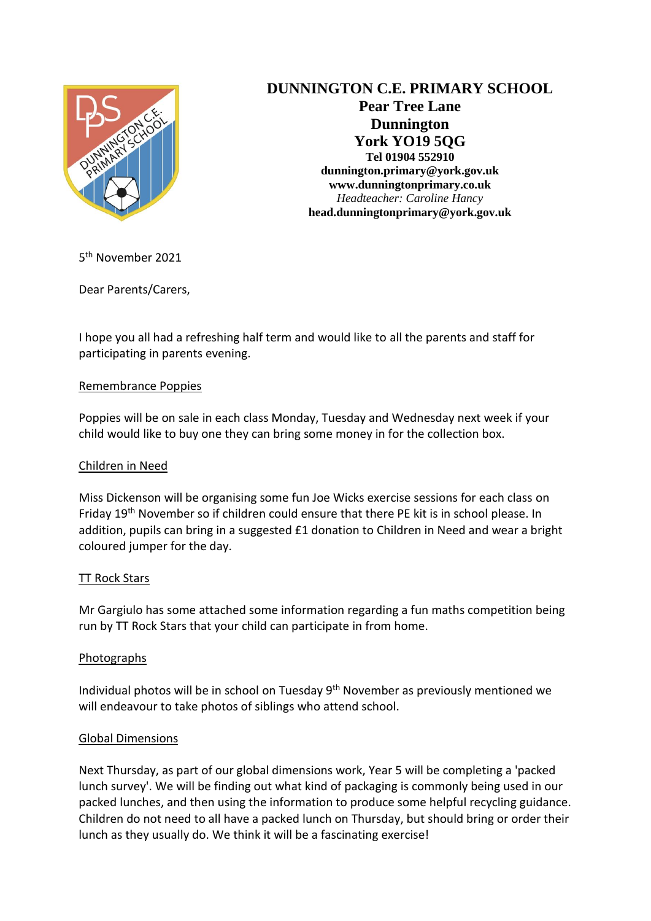

# **DUNNINGTON C.E. PRIMARY SCHOOL Pear Tree Lane Dunnington York YO19 5QG Tel 01904 552910**

**dunnington.primary@york.gov.uk www.dunningtonprimary.co.uk** *Headteacher: Caroline Hancy* **head.dunningtonprimary@york.gov.uk**

5<sup>th</sup> November 2021

Dear Parents/Carers,

I hope you all had a refreshing half term and would like to all the parents and staff for participating in parents evening.

## Remembrance Poppies

Poppies will be on sale in each class Monday, Tuesday and Wednesday next week if your child would like to buy one they can bring some money in for the collection box.

# Children in Need

Miss Dickenson will be organising some fun Joe Wicks exercise sessions for each class on Friday 19th November so if children could ensure that there PE kit is in school please. In addition, pupils can bring in a suggested £1 donation to Children in Need and wear a bright coloured jumper for the day.

#### TT Rock Stars

Mr Gargiulo has some attached some information regarding a fun maths competition being run by TT Rock Stars that your child can participate in from home.

#### Photographs

Individual photos will be in school on Tuesday  $9<sup>th</sup>$  November as previously mentioned we will endeavour to take photos of siblings who attend school.

# Global Dimensions

Next Thursday, as part of our global dimensions work, Year 5 will be completing a 'packed lunch survey'. We will be finding out what kind of packaging is commonly being used in our packed lunches, and then using the information to produce some helpful recycling guidance. Children do not need to all have a packed lunch on Thursday, but should bring or order their lunch as they usually do. We think it will be a fascinating exercise!